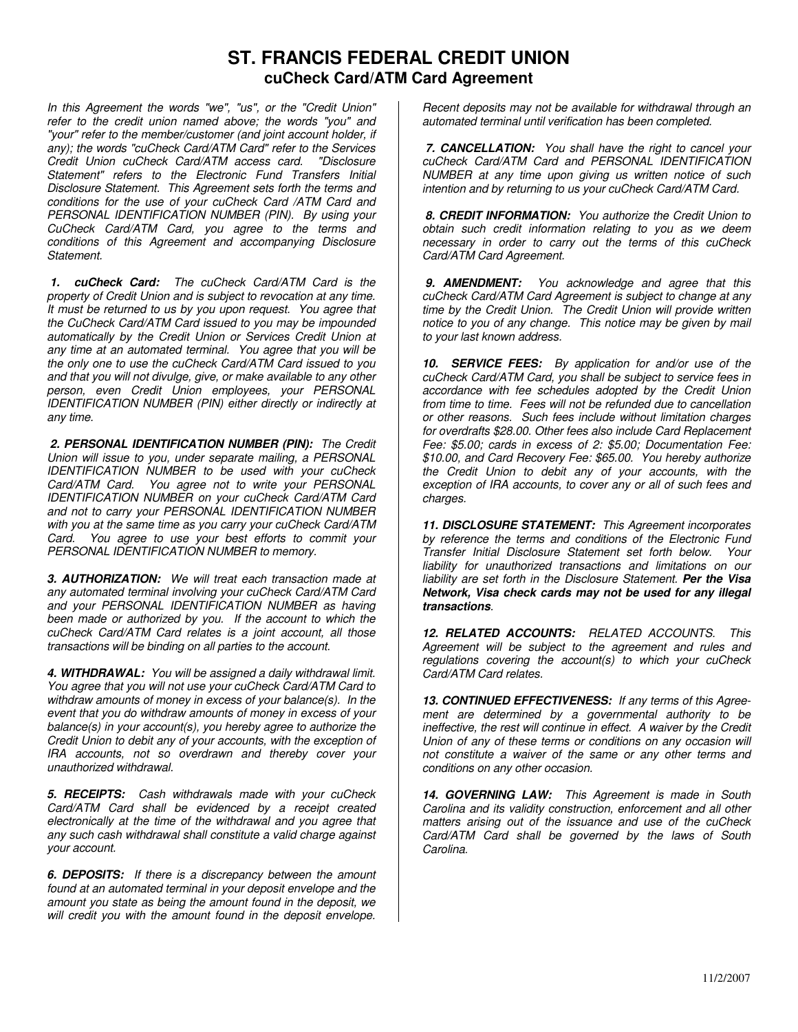## **ST. FRANCIS FEDERAL CREDIT UNION cuCheck Card/ATM Card Agreement**

*In this Agreement the words "we", "us", or the "Credit Union" refer to the credit union named above; the words "you" and "your" refer to the member/customer (and joint account holder, if any); the words "cuCheck Card/ATM Card" refer to the Services Credit Union cuCheck Card/ATM access card. "Disclosure Statement" refers to the Electronic Fund Transfers Initial Disclosure Statement. This Agreement sets forth the terms and conditions for the use of your cuCheck Card /ATM Card and PERSONAL IDENTIFICATION NUMBER (PIN). By using your CuCheck Card/ATM Card, you agree to the terms and conditions of this Agreement and accompanying Disclosure Statement.*

*1. cuCheck Card: The cuCheck Card/ATM Card is the property of Credit Union and is subject to revocation at any time. It must be returned to us by you upon request. You agree that the CuCheck Card/ATM Card issued to you may be impounded automatically by the Credit Union or Services Credit Union at any time at an automated terminal. You agree that you will be the only one to use the cuCheck Card/ATM Card issued to you and that you will not divulge, give, or make available to any other person, even Credit Union employees, your PERSONAL IDENTIFICATION NUMBER (PIN) either directly or indirectly at any time.*

*2. PERSONAL IDENTIFICATION NUMBER (PIN): The Credit Union will issue to you, under separate mailing, a PERSONAL IDENTIFICATION NUMBER to be used with your cuCheck Card/ATM Card. You agree not to write your PERSONAL IDENTIFICATION NUMBER on your cuCheck Card/ATM Card and not to carry your PERSONAL IDENTIFICATION NUMBER with you at the same time as you carry your cuCheck Card/ATM Card. You agree to use your best efforts to commit your PERSONAL IDENTIFICATION NUMBER to memory.*

*3. AUTHORIZATION: We will treat each transaction made at any automated terminal involving your cuCheck Card/ATM Card and your PERSONAL IDENTIFICATION NUMBER as having been made or authorized by you. If the account to which the cuCheck Card/ATM Card relates is a joint account, all those transactions will be binding on all parties to the account.*

*4. WITHDRAWAL: You will be assigned a daily withdrawal limit. You agree that you will not use your cuCheck Card/ATM Card to withdraw amounts of money in excess of your balance(s). In the event that you do withdraw amounts of money in excess of your balance(s) in your account(s), you hereby agree to authorize the Credit Union to debit any of your accounts, with the exception of IRA accounts, not so overdrawn and thereby cover your unauthorized withdrawal.*

*5. RECEIPTS: Cash withdrawals made with your cuCheck Card/ATM Card shall be evidenced by a receipt created electronically at the time of the withdrawal and you agree that any such cash withdrawal shall constitute a valid charge against your account.*

*6. DEPOSITS: If there is a discrepancy between the amount found at an automated terminal in your deposit envelope and the amount you state as being the amount found in the deposit, we will credit you with the amount found in the deposit envelope.*

*Recent deposits may not be available for withdrawal through an automated terminal until verification has been completed.*

*7. CANCELLATION: You shall have the right to cancel your cuCheck Card/ATM Card and PERSONAL IDENTIFICATION NUMBER at any time upon giving us written notice of such intention and by returning to us your cuCheck Card/ATM Card.*

*8. CREDIT INFORMATION: You authorize the Credit Union to obtain such credit information relating to you as we deem necessary in order to carry out the terms of this cuCheck Card/ATM Card Agreement.*

*9. AMENDMENT: You acknowledge and agree that this cuCheck Card/ATM Card Agreement is subject to change at any time by the Credit Union. The Credit Union will provide written notice to you of any change. This notice may be given by mail to your last known address.*

*10. SERVICE FEES: By application for and/or use of the cuCheck Card/ATM Card, you shall be subject to service fees in accordance with fee schedules adopted by the Credit Union from time to time. Fees will not be refunded due to cancellation or other reasons. Such fees include without limitation charges for overdrafts \$28.00. Other fees also include Card Replacement Fee: \$5.00; cards in excess of 2: \$5.00; Documentation Fee: \$10.00, and Card Recovery Fee: \$65.00. You hereby authorize the Credit Union to debit any of your accounts, with the exception of IRA accounts, to cover any or all of such fees and charges.*

*11. DISCLOSURE STATEMENT: This Agreement incorporates by reference the terms and conditions of the Electronic Fund Transfer Initial Disclosure Statement set forth below. Your liability for unauthorized transactions and limitations on our liability are set forth in the Disclosure Statement. Per the Visa Network, Visa check cards may not be used for any illegal transactions.*

*12. RELATED ACCOUNTS: RELATED ACCOUNTS. This Agreement will be subject to the agreement and rules and regulations covering the account(s) to which your cuCheck Card/ATM Card relates.*

*13. CONTINUED EFFECTIVENESS: If any terms of this Agreement are determined by a governmental authority to be ineffective, the rest will continue in effect. A waiver by the Credit Union of any of these terms or conditions on any occasion will not constitute a waiver of the same or any other terms and conditions on any other occasion.*

*14. GOVERNING LAW: This Agreement is made in South Carolina and its validity construction, enforcement and all other matters arising out of the issuance and use of the cuCheck Card/ATM Card shall be governed by the laws of South Carolina.*